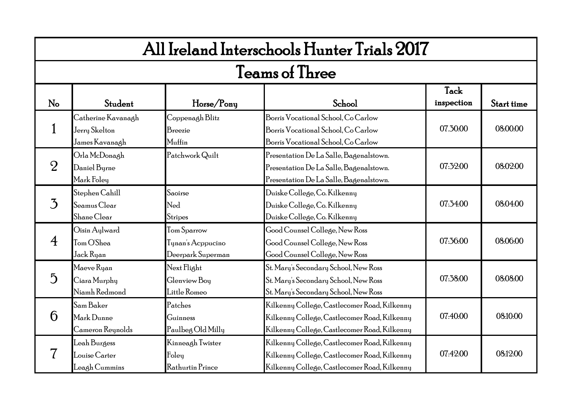|                | All Ireland Interschools Hunter Trials 2017           |                                                       |                                                                                                                                              |                    |            |  |  |  |
|----------------|-------------------------------------------------------|-------------------------------------------------------|----------------------------------------------------------------------------------------------------------------------------------------------|--------------------|------------|--|--|--|
|                |                                                       |                                                       | <b>Teams of Three</b>                                                                                                                        |                    |            |  |  |  |
| No             | Student                                               | Horse/Pony                                            | School                                                                                                                                       | Tack<br>inspection | Start time |  |  |  |
|                | Catherine Kavanagh<br>Jerry Skelton<br>James Kavanagh | Coppenagh Blitz<br>Breezie<br>Muffin                  | Borris Vocational School, Co Carlow<br>Borris Vocational School, Co Carlow<br>Borris Vocational School, Co Carlow                            | 07.30.00           | 08:00:00   |  |  |  |
| $\overline{2}$ | Orla McDonagh<br>Daniel Byrne<br>Mark Foley           | Patchwork Quilt                                       | Presentation De La Salle, Bagenalstown.<br>Presentation De La Salle, Bagenalstown.<br>Presentation De La Salle, Bagenalstown.                | 07:32:00           | 08:02:00   |  |  |  |
| 3              | Stephen Cahill<br>Seamus Clear<br>Shane Clear         | Saoirse<br>Ned<br>Stripes                             | Duiske College, Co. Kilkenny<br>Duiske College, Co. Kilkenny<br>Duiske College, Co. Kilkenny                                                 | 07:34:00           | 08:04:00   |  |  |  |
| $\overline{A}$ | Oisin Aylward<br>Tom O'Shea<br>Jack Ryan              | Tom Sparrow<br>Tynan's Acppucino<br>Deerpark Superman | Good Counsel College, New Ross<br>Good Counsel College, New Ross<br>Good Counsel College, New Ross                                           | 07:36:00           | 08:06:00   |  |  |  |
| $\overline{5}$ | Maeve Ryan<br>Ciara Murphy<br>Niamh Redmond           | Next Flight<br>Glenview Boy<br>Little Romeo           | St. Mary's Secondary School, New Ross<br>St. Mary's Secondary School, New Ross<br>St. Mary's Secondary School, New Ross                      | 07:38:00           | 08:08:00   |  |  |  |
| 6              | Sam Baker<br>Mark Dunne<br>Cameron Reynolds           | Patches<br>Guinness<br>Paulbeg Old Milly              | Kilkenny College, Castlecomer Road, Kilkenny<br>Kilkenny College, Castlecomer Road, Kilkenny<br>Kilkenny College, Castlecomer Road, Kilkenny | 07:40:00           | 08:10:00   |  |  |  |
|                | Leah Burgess<br>Louise Carter<br>Leagh Cummins        | Kinneagh Twister<br>Foley<br>Rathurtin Prince         | Kilkenny College, Castlecomer Road, Kilkenny<br>Kilkenny College, Castlecomer Road, Kilkenny<br>Kilkenny College, Castlecomer Road, Kilkenny | 07:42:00           | 08.12.00   |  |  |  |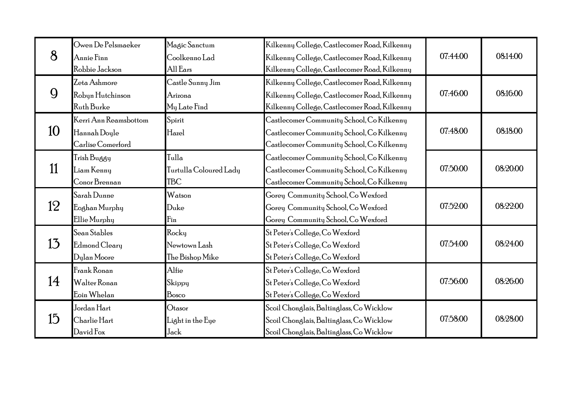|    | Owen De Pelsmaeker    | Magic Sanctum          | Kilkenny College, Castlecomer Road, Kilkenny |          |          |
|----|-----------------------|------------------------|----------------------------------------------|----------|----------|
| 8  | Annie Finn            | Coolkenno Lad          | Kilkenny College, Castlecomer Road, Kilkenny | 07:44:00 | 08:14:00 |
|    | Robbie Jackson        | All Ears               | Kilkenny College, Castlecomer Road, Kilkenny |          |          |
|    | Zeta Ashmore          | Castle Sunny Jim       | Kilkenny College, Castlecomer Road, Kilkenny |          |          |
| 9  | Robyn Hutchinson      | Arizona                | Kilkenny College, Castlecomer Road, Kilkenny | 07:46:00 | 08.16.00 |
|    | Ruth Burke            | My Late Find           | Kilkenny College, Castlecomer Road, Kilkenny |          |          |
|    | Kerri Ann Reamsbottom | Spirit                 | Castlecomer Community School, Co Kilkenny    |          |          |
| 10 | Hannah Doyle          | Hazel                  | Castlecomer Community School, Co Kilkenny    | 07:48:00 | 08:18:00 |
|    | Carlise Comerford     |                        | Castlecomer Community School, Co Kilkenny    |          |          |
|    | Trish Buggy           | Tulla                  | Castlecomer Community School, Co Kilkenny    |          |          |
| 11 | Liam Kenny            | Turtulla Coloured Lady | Castlecomer Community School, Co Kilkenny    | 07:50:00 | 08:20:00 |
|    | Conor Brennan         | <b>TBC</b>             | Castlecomer Community School, Co Kilkenny    |          |          |
|    | Sarah Dunne           | Watson                 | Gorey Community School, Co Wexford           |          |          |
| 12 | Eoghan Murphy         | Duke                   | Gorey Community School, Co Wexford           | 07:52:00 | 08:22:00 |
|    | Ellie Murphy          | Fin                    | Gorey Community School, Co Wexford           |          |          |
|    | Sean Stables          | Rocky                  | St Peter's College, Co Wexford               |          |          |
| 13 | Edmond Cleary         | Newtown Lash           | St Peter's College, Co Wexford               | 07:54:00 | 08:24:00 |
|    | Dylan Moore           | The Bishop Mike        | St Peter's College, Co Wexford               |          |          |
|    | Frank Ronan           | Alfie                  | St Peter's College, Co Wexford               |          |          |
| 14 | Walter Ronan          | Skippy                 | St Peter's College, Co Wexford               | 07:56:00 | 08:26:00 |
|    | Eoin Whelan           | Bosco                  | St Peter's College, Co Wexford               |          |          |
|    | Jordan Hart           | Otasor                 | Scoil Chonglais, Baltinglass, Co Wicklow     |          |          |
| 15 | Charlie Hart          | Light in the Eye       | Scoil Chonglais, Baltinglass, Co Wicklow     | 07:58:00 | 08:28:00 |
|    | David Fox             | Jack                   | Scoil Chonglais, Baltinglass, Co Wicklow     |          |          |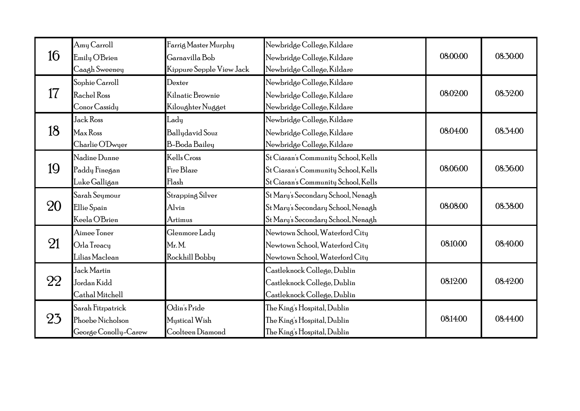|    | Amy Carroll          | Farrig Master Murphy     | Newbridge College, Kildare          |          |          |
|----|----------------------|--------------------------|-------------------------------------|----------|----------|
| 16 | Emily O'Brien        | Garnavilla Bob           | Newbridge College, Kildare          | 08:00:00 | 08:30:00 |
|    | Caagh Sweeney        | Kippure Sepple View Jack | Newbridge College, Kildare          |          |          |
|    | Sophie Carroll       | Dexter                   | Newbridge College, Kildare          |          |          |
| 17 | Rachel Ross          | Kilnatic Brownie         | Newbridge College, Kildare          | 08:02:00 | 08:32:00 |
|    | Conor Cassidy        | Kiloughter Nugget        | Newbridge College, Kildare          |          |          |
|    | Jack Ross            | Lady                     | Newbridge College, Kildare          |          |          |
| 18 | Max Ross             | Ballydavid Souz          | Newbridge College, Kildare          | 08:04:00 | 08:34:00 |
|    | Charlie O'Dwyer      | B-Boda Bailey            | Newbridge College, Kildare          |          |          |
|    | Nadine Dunne         | Kells Cross              | St Ciaran's Community School, Kells |          |          |
| 19 | Paddy Finegan        | Fire Blaze               | St Ciaran's Community School, Kells | 08:06:00 | 08:36:00 |
|    | Luke Galligan        | Flash                    | St Ciaran's Community School, Kells |          |          |
|    | Sarah Seymour        | Strapping Silver         | St Mary's Secondary School, Nenagh  |          |          |
| 20 | Ellie Spain          | Alvin                    | St Mary's Secondary School, Nenagh  | 08:08:00 | 08:38:00 |
|    | Keela O'Brien        | Artimus                  | St Mary's Secondary School, Nenagh  |          |          |
|    | Aimee Toner          | Glenmore Lady            | Newtown School, Waterford City      |          |          |
| 21 | Orla Treacy          | Mr.M.                    | Newtown School, Waterford City      | 08:10:00 | 08:40:00 |
|    | Lilias Maclean       | Rockhill Bobby           | Newtown School, Waterford City      |          |          |
|    | Jack Martin          |                          | Castleknock College, Dublin         |          |          |
| 22 | Jordan Kidd          |                          | Castleknock College, Dublin         | 08:12:00 | 08:42:00 |
|    | Cathal Mitchell      |                          | Castleknock College, Dublin         |          |          |
|    | Sarah Fitzpatrick    | Odin's Pride             | The King's Hospital, Dublin         |          |          |
| 23 | Phoebe Nicholson     | Mustical Wish            | The King's Hospital, Dublin         | 08:14:00 | 08:44:00 |
|    | George Conolly-Carew | Coolteen Diamond         | The King's Hospital, Dublin         |          |          |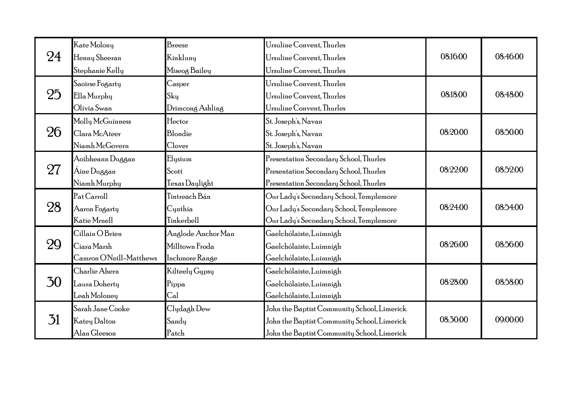|                 | Kate Molony             | Breeze             | Ursuline Convent, Thurles                   |          |          |
|-----------------|-------------------------|--------------------|---------------------------------------------|----------|----------|
| 24              | Henny Sheeran           | Kinkluny           | Ursuline Convent, Thurles                   | 08:16:00 | 08:46:00 |
|                 | Stephanie Kelly         | Miseog Bailey      | Ursuline Convent, Thurles                   |          |          |
|                 | Saoirse Fogarty         | Casper             | Ursuline Convent, Thurles                   |          |          |
| 25              | Ella Murphy             | Sky                | Ursuline Convent, Thurles                   | 08:18:00 | 08:48:00 |
|                 | Olivia Swan             | Drimcong Ashling   | Ursuline Convent, Thurles                   |          |          |
|                 | Molly McGuinness        | Hector             | St. Joseph's, Navan                         |          |          |
| 26              | Clara McAteer           | Blondie            | St. Joseph's, Navan                         | 08:20:00 | 08:50:00 |
|                 | Niamh McGovern          | Clover             | St. Joseph's, Navan                         |          |          |
|                 | Aoibheann Duggan        | Elysium            | Presentation Secondary School, Thurles      |          |          |
| 27              | Áine Duggan             | Scott              | Presentation Secondary School, Thurles      | 08:22:00 | 08:52:00 |
|                 | Niamh Murphy            | Texas Daylight     | Presentation Secondary School, Thurles      |          |          |
|                 | Pat Carroll             | Tintreach Bán      | Our Lady's Secondary School, Templemore     |          |          |
| 28              | Aaron Fogarty           | Cynthia            | Our Lady's Secondary School, Templemore     | 08:24:00 | 08:54:00 |
|                 | Katie Mrnell            | Tinkerbell         | Our Lady's Secondary School, Templemore     |          |          |
|                 | Cillain O Brien         | Anglode Anchor Man | Gaelchólaiste, Luimnigh                     |          |          |
| 29              | Ciara Marsh             | Milltown Froda     | Gaelchólaiste, Luimnigh                     | 08:26:00 | 08:56:00 |
|                 | Camron O'Neill-Matthews | Inchmore Range     | Gaelchólaiste, Luimnigh                     |          |          |
|                 | Charlie Ahern           | Kilteely Gypsy     | Gaelchólaiste, Luimnigh                     |          |          |
| 30              | Laura Doherty           | Pippa              | Gaelchólaiste, Luimnigh                     | 08:28:00 | 08:58:00 |
|                 | Leah Moloney            | Cal                | Gaelchólaiste, Luimnigh                     |          |          |
|                 | Sarah Jane Cooke        | Clydagh Dew        | John the Baptist Community School, Limerick |          |          |
| $\overline{31}$ | Katey Dalton            | Sandy              | John the Baptist Community School, Limerick | 08:30:00 | 09:00:00 |
|                 | Alan Gleeson            | Patch              | John the Baptist Community School, Limerick |          |          |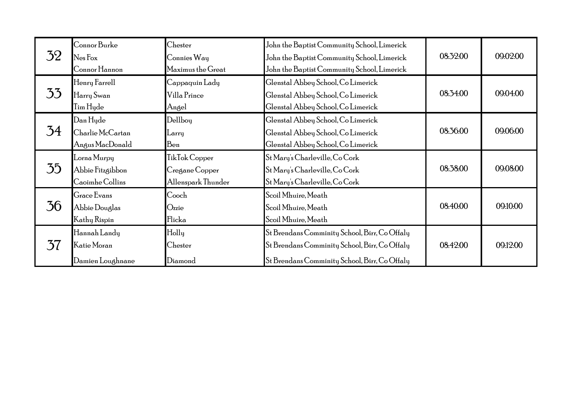| 32 | Connor Burke<br>Nes Fox<br>Connor Hannon           | Chester<br>Connies Way<br>Maximus the Great           | John the Baptist Community School, Limerick<br>John the Baptist Community School, Limerick<br>John the Baptist Community School, Limerick       | 08:32:00 | 09:02:00 |
|----|----------------------------------------------------|-------------------------------------------------------|-------------------------------------------------------------------------------------------------------------------------------------------------|----------|----------|
| 33 | Henry Farrell<br>Harry Swan<br>Tim Hyde            | Cappaquin Lady<br>Villa Prince<br>Angel               | Glenstal Abbey School, Co Limerick<br>Glenstal Abbey School, Co Limerick<br>Glenstal Abbey School, Co Limerick                                  | 08:34:00 | 09:04:00 |
| 34 | Dan Hyde<br>Charlie McCartan<br>Angus MacDonald    | Dellboy<br>Larry<br>Ben                               | Glenstal Abbey School, Co Limerick<br>Glenstal Abbey School, Co Limerick<br>Glenstal Abbey School, Co Limerick                                  | 08:36:00 | 09:06:00 |
| 35 | Lorna Murpy<br>Abbie Fitzgibbon<br>Caoimhe Collins | TikTok Copper<br>Cregane Copper<br>Allenspark Thunder | St Mary's Charleville, Co Cork<br>St Mary's Charleville, Co Cork<br>St Mary's Charleville, Co Cork                                              | 08:38:00 | 09:08:00 |
| 36 | Grace Evans<br>Abbie Douglas<br>Kathy Rispin       | Cooch<br>Ozzie<br>Flicka                              | Scoil Mhuire, Meath<br>Scoil Mhuire, Meath<br>Scoil Mhuire, Meath                                                                               | 08:40:00 | 09:10:00 |
| 37 | Hannah Landy<br>Katie Moran<br>Damien Loughnane    | Holly<br>Chester<br>Diamond                           | St Brendans Comminity School, Birr, Co Offaly<br>St Brendans Comminity School, Birr, Co Offaly<br>St Brendans Comminity School, Birr, Co Offaly | 08:42:00 | 09.12.00 |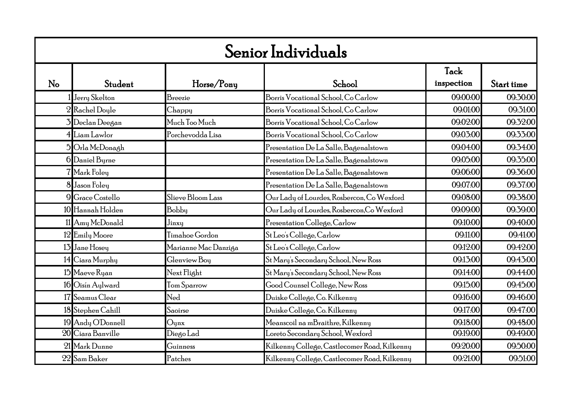|    | Senior Individuals |                      |                                              |            |            |  |  |  |
|----|--------------------|----------------------|----------------------------------------------|------------|------------|--|--|--|
|    |                    |                      |                                              | Tack       |            |  |  |  |
| No | Student            | Horse/Pony           | School                                       | inspection | Start time |  |  |  |
|    | Jerry Skelton      | Breezie              | Borris Vocational School, Co Carlow          | 09:00:00   | 09:30:00   |  |  |  |
|    | 2 Rachel Doyle     | Chappy               | Borris Vocational School, Co Carlow          | 09:01:00   | 09:31:00   |  |  |  |
|    | 3 Declan Deegan    | Much Too Much        | Borris Vocational School, Co Carlow          | 09:02:00   | 09:32:00   |  |  |  |
|    | 4 Liam Lawlor      | Porchevodda Lisa     | Borris Vocational School, Co Carlow          | 09:03:00   | 09:33:00   |  |  |  |
|    | 5 Orla McDonagh    |                      | Presentation De La Salle, Bagenalstown       | 09:04:00   | 09:34:00   |  |  |  |
|    | 6 Daniel Byrne     |                      | Presentation De La Salle, Bagenalstown       | 09:05:00   | 09:35:00   |  |  |  |
|    | 7 Mark Foley       |                      | Presentation De La Salle, Bagenalstown       | 09:06:00   | 09:36:00   |  |  |  |
|    | 8 Jason Foley      |                      | Presentation De La Salle, Bagenalstown       | 09:07:00   | 09:37:00   |  |  |  |
|    | 9 Grace Costello   | Slieve Bloom Lass    | Our Lady of Lourdes, Rosbercon, Co Wexford   | 09:08:00   | 09:38:00   |  |  |  |
|    | 10 Hannah Holden   | Bobby                | Our Lady of Lourdes, Rosbercon,Co Wexford    | 09:09:00   | 09:39:00   |  |  |  |
|    | 11 Amy McDonald    | Jinxy                | Presentation College, Carlow                 | 09:10:00   | 09:40:00   |  |  |  |
|    | 12 Emily Moore     | Timahoe Gordon       | St Leo's College, Carlow                     | 09:11:00   | 09:41:00   |  |  |  |
|    | 13 Jane Hosey      | Marianne Mac Danziga | St Leo's College, Carlow                     | 09:12:00   | 09:42:00   |  |  |  |
|    | 14 Ciara Murphy    | Glenview Boy         | St Mary's Secondary School, New Ross         | 09:13:00   | 09:43:00   |  |  |  |
|    | 15 Maeve Ryan      | Next Flight          | St Mary's Secondary School, New Ross         | 09:14:00   | 09:44:00   |  |  |  |
|    | 16 Oisín Aylward   | Tom Sparrow          | Good Counsel College, New Ross               | 09:15:00   | 09:45:00   |  |  |  |
|    | 17 Seamus Clear    | Ned                  | Duiske College, Co. Kilkenny                 | 09:16:00   | 09:46:00   |  |  |  |
|    | 18 Stephen Cahill  | Saoirse              | Duiske College, Co. Kilkenny                 | 09:17:00   | 09:47:00   |  |  |  |
|    | 19 Andy O'Donnell  | $_{\rm Quax}$        | Meanscoil na mBraithre, Kilkenny             | 09:18:00   | 09:48:00   |  |  |  |
|    | 20 Ciara Banville  | Diego Lad            | Loreto Secondary School, Wexford             | 09:19:00   | 09:49:00   |  |  |  |
|    | 21 Mark Dunne      | Guinness             | Kilkenny College, Castlecomer Road, Kilkenny | 09:20:00   | 09:50:00   |  |  |  |
|    | 22 Sam Baker       | Patches              | Kilkenny College, Castlecomer Road, Kilkenny | 09:21:00   | 09:51:00   |  |  |  |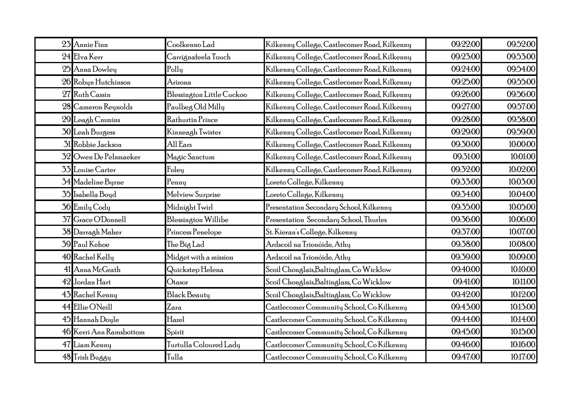| 23 Annie Finn           | Coolkenno Lad             | Kilkenny College, Castlecomer Road, Kilkenny | 09:22:00 | 09:52:00 |
|-------------------------|---------------------------|----------------------------------------------|----------|----------|
| 24 Elva Kerr            | Carrignafeela Touch       | Kilkenny College, Castlecomer Road, Kilkenny | 09:23:00 | 09:53:00 |
| 25 Anna Dowley          | Polly                     | Kilkenny College, Castlecomer Road, Kilkenny | 09:24:00 | 09:54:00 |
| 26 Robyn Hutchinson     | Arizona                   | Kilkenny College, Castlecomer Road, Kilkenny | 09:25:00 | 09:55:00 |
| 27 Ruth Cassin          | Blessington Little Cuckoo | Kilkenny College, Castlecomer Road, Kilkenny | 09:26:00 | 09:56:00 |
| 28 Cameron Reynolds     | Paulbeg Old Milly         | Kilkenny College, Castlecomer Road, Kilkenny | 09:27:00 | 09:57:00 |
| 29 Leagh Cmmins         | Rathurtin Prince          | Kilkenny College, Castlecomer Road, Kilkenny | 09:28:00 | 09:58:00 |
| 30 Leah Burgess         | Kinneagh Twister          | Kilkenny College, Castlecomer Road, Kilkenny | 09:29:00 | 09:59:00 |
| 31 Robbie Jackson       | All Ears                  | Kilkenny College, Castlecomer Road, Kilkenny | 09:30:00 | 10:00:00 |
| 32 Owen De Pelsmaeker   | Magic Sanctum             | Kilkenny College, Castlecomer Road, Kilkenny | 09:31:00 | 10:01:00 |
| 33 Louise Carter        | Foley                     | Kilkenny College, Castlecomer Road, Kilkenny | 09:32:00 | 10:02:00 |
| 34 Madeline Byrne       | Penny                     | Loreto College, Kilkenny                     | 09:33:00 | 10:03:00 |
| 35 Isabella Boyd        | Melview Surprise          | Loreto College, Kilkenny                     | 09:34:00 | 10:04:00 |
| 36 Emily Cody           | Midnight Twirl            | Presentation Secondary School, Kilkenny      | 09:35:00 | 10:05:00 |
| 37 Grace O'Donnell      | Blessington Willibe       | Presentation Secondary School,Thurles        | 09:36:00 | 10:06:00 |
| 38 Darragh Maher        | Princess Penelope         | St. Kieran's College, Kilkenny               | 09:37:00 | 10:07:00 |
| 39 Paul Kehoe           | The Big Lad               | Ardscoil na Trionóide, Athy                  | 09:38:00 | 10:08:00 |
| 40 Rachel Kelly         | Midget with a mission     | Ardscoil na Trionóide, Athy                  | 09:39:00 | 10:09:00 |
| 41 Anna McGrath         | Quickstep Helena          | Scoil Chonglais, Baltinglass, Co Wicklow     | 09:40:00 | 10:10:00 |
| 42 Jordan Hart          | Otasor                    | Scoil Chonglais,Baltinglass, Co Wicklow      | 09:41:00 | 10:11:00 |
| 43 Rachel Kenny         | <b>Black Beauty</b>       | Scoil Chonglais,Baltinglass, Co Wicklow      | 09:42:00 | 10:12:00 |
| 44 Ellie ONeill         | Zara                      | Castlecomer Community School, Co Kilkenny    | 09:43:00 | 10:13:00 |
| 45 Hannah Doyle         | Hazel                     | Castlecomer Community School, Co Kilkenny    | 09:44:00 | 10:14:00 |
| 46 Kerri Ann Ramsbottom | Spirit                    | Castlecomer Community School, Co Kilkenny    | 09:45:00 | 10:15:00 |
| 47 Liam Kenny           | Turtulla Coloured Lady    | Castlecomer Community School, Co Kilkenny    | 09:46:00 | 10:16:00 |
| 48 Trish Buggy          | Tulla                     | Castlecomer Community School, Co Kilkenny    | 09:47:00 | 10:17:00 |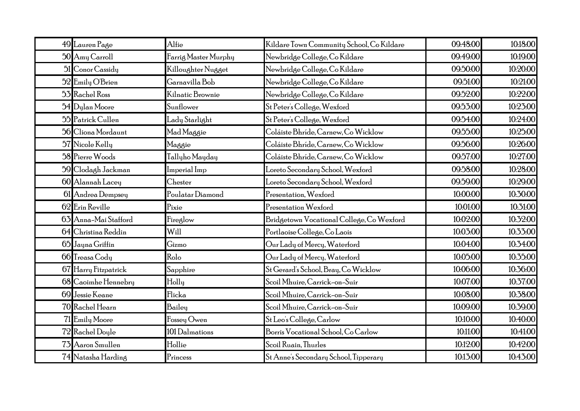| 49 Lauren Page       | Alfie                | Kildare Town Community School, Co Kildare | 09:48:00 | 10:18:00 |
|----------------------|----------------------|-------------------------------------------|----------|----------|
| 50 Amy Carroll       | Farrig Master Murphy | Newbridge College, Co Kildare             | 09:49:00 | 10:19:00 |
| 51 Conor Cassidy     | Killoughter Nugget   | Newbridge College, Co Kildare             | 09:50:00 | 10:20:00 |
| 52 Emily O'Brien     | Garnavilla Bob       | Newbridge College, Co Kildare             | 09:51:00 | 10:21:00 |
| 53 Rachel Ross       | Kilnatic Brownie     | Newbridge College, Co Kildare             | 09:52:00 | 10:22:00 |
| 54 Dylan Moore       | Sunflower            | St Peter's College, Wexford               | 09:53:00 | 10:23:00 |
| 55 Patrick Cullen    | Lady Starlight       | St Peter's College, Wexford               | 09:54:00 | 10:24:00 |
| 56 Cliona Mordaunt   | Mad Maggie           | Coláiste Bhríde, Carnew, Co Wicklow       | 09:55:00 | 10:25:00 |
| 57 Nicole Kelly      | Maggie               | Coláiste Bhríde, Carnew, Co Wicklow       | 09:56:00 | 10:26:00 |
| 58 Pierre Woods      | Tallyho Mayday       | Coláiste Bhríde, Carnew, Co Wicklow       | 09:57:00 | 10:27:00 |
| 59 Clodagh Jackman   | Imperial Imp         | Loreto Secondary School, Wexford          | 09:58:00 | 10:28:00 |
| 60 Alannah Lacey     | Chester              | Loreto Secondary School, Wexford          | 09:59:00 | 10:29:00 |
| 61 Andrea Dempsey    | Poulatar Diamond     | Presentation, Wexford                     | 10:00:00 | 10:30:00 |
| 62 Erin Reville      | Pixie                | Presentation Wexford                      | 10:01:00 | 10:31:00 |
| 63 Anna-Mai Stafford | Fireglow             | Bridgetown Vocational College, Co Wexford | 10:02:00 | 10:32:00 |
| 64 Christina Reddin  | Will                 | Portlaoise College, Co Laois              | 10:03:00 | 10:33:00 |
| 65 Jayna Griffin     | Gizmo                | Our Lady of Mercy, Waterford              | 10:04:00 | 10:34:00 |
| 66 Treasa Cody       | Rolo                 | Our Lady of Mercy, Waterford              | 10:05:00 | 10:35:00 |
| 67 Harry Fitzpatrick | Sapphire             | St Gerard's School, Bray, Co Wicklow      | 10:06:00 | 10:36:00 |
| 68 Caoimhe Hennebry  | Holly                | Scoil Mhuire, Carrick-on-Suir             | 10:07:00 | 10:37:00 |
| 69 Jessie Keane      | Flicka               | Scoil Mhuire, Carrick-on-Suir             | 10:08:00 | 10:38:00 |
| 70 Rachel Hearn      | Bailey               | Scoil Mhuire, Carrick-on-Suir             | 10:09:00 | 10:39:00 |
| 71 Emily Moore       | Fossey Owen          | St Leo's College, Carlow                  | 10:10:00 | 10:40:00 |
| 72 Rachel Doyle      | 101 Dalmations       | Borris Vocational School, Co Carlow       | 10:11:00 | 10:41:00 |
| 73 Aaron Smullen     | Hollie               | Scoil Ruain, Thurles                      | 10:12:00 | 10:42:00 |
| 74 Natasha Harding   | Princess             | St Anne's Secondary School, Tipperary     | 10:13:00 | 10:43:00 |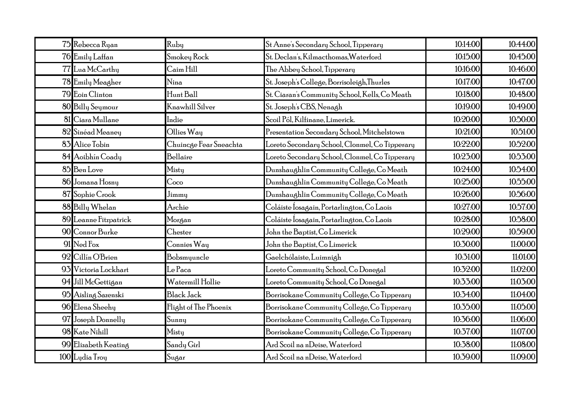| 75 Rebecca Ryan       | Ruby                   | St Anne's Secondary School, Tipperary          | 10:14:00 | 10:44:00 |
|-----------------------|------------------------|------------------------------------------------|----------|----------|
| 76 Emily Laffan       | Smokey Rock            | St. Declan's, Kilmacthomas, Waterford          | 10:15:00 | 10:45:00 |
| 77 Lua McCarthy       | Caim Hill              | The Abbey School, Tipperary                    | 10:16:00 | 10:46:00 |
| 78 Emily Meagher      | Nina                   | St. Joseph's College, Borrisoleigh,Thurles     | 10:17:00 | 10:47:00 |
| 79 Eoin Clinton       | Hunt Ball              | St. Ciaran's Community School, Kells, Co Meath | 10:18:00 | 10:48:00 |
| 80 Billy Seymour      | <b>Knawhill Silver</b> | St. Joseph's CBS, Nenagh                       | 10:19:00 | 10:49:00 |
| 81 Ciara Mullane      | Indie                  | Scoil Pól, Kilfinane, Limerick.                | 10:20:00 | 10:50:00 |
| 82 Sinéad Meaney      | Ollies Way             | Presentation Secondary School, Mitchelstown    | 10:21:00 | 10:51:00 |
| 83 Alice Tobin        | Chuincge Fear Sneachta | Loreto Secondary School, Clonmel, Co Tipperary | 10:22:00 | 10:52:00 |
| 84 Aoibhín Coady      | Bellaire               | Loreto Secondary School, Clonmel, Co Tipperary | 10:23:00 | 10:53:00 |
| 85 Ben Love           | Misty                  | Dunshaughlin Community College, Co Meath       | 10:24:00 | 10:54:00 |
| 86 Jomana Hosny       | Coco                   | Dunshaughlin Community College, Co Meath       | 10:25:00 | 10:55:00 |
| 87 Sophie Crook       | Jimmy                  | Dunshaughlin Community College, Co Meath       | 10:26:00 | 10:56:00 |
| 88 Billy Whelan       | Archie                 | Coláiste Íosagain, Portarlington, Co Laois     | 10:27:00 | 10:57:00 |
| 89 Leanne Fitzpatrick | Morgan                 | Coláiste Íosagain, Portarlington, Co Laois     | 10:28:00 | 10:58:00 |
| 90 Connor Burke       | Chester                | John the Baptist, Co Limerick                  | 10:29:00 | 10:59:00 |
| 91 Ned Fox            | Connies Way            | John the Baptist, Co Limerick                  | 10:30:00 | 11:00:00 |
| 92 Cillín O'Brien     | Bobsmyuncle            | Gaelchólaiste, Luimnigh                        | 10:31:00 | 11:01:00 |
| 93 Victoria Lockhart  | Le Paca                | Loreto Community School, Co Donegal            | 10:32:00 | 11:02:00 |
| 94 Jill McGettigan    | Watermill Hollie       | Loreto Community School, Co Donegal            | 10:33:00 | 11:03:00 |
| 95 Aisling Sazenski   | <b>Black Jack</b>      | Borrisokane Community College, Co Tipperary    | 10:34:00 | 11:04:00 |
| 96 Elena Sheehy       | Flight of The Phoenix  | Borrisokane Community College, Co Tipperary    | 10:35:00 | 11:05:00 |
| 97 Joseph Donnelly    | Sunny                  | Borrisokane Community College, Co Tipperary    | 10:36:00 | 11:06:00 |
| 98 Kate Nihill        | Misty                  | Borrisokane Community College, Co Tipperary    | 10:37:00 | 11:07:00 |
| 99 Elizabeth Keating  | Sandy Girl             | Ard Scoil na nDeise, Waterford                 | 10:38:00 | 11:08:00 |
| 100 Lydia Troy        | Sugar                  | Ard Scoil na nDeise, Waterford                 | 10:39:00 | 11:09:00 |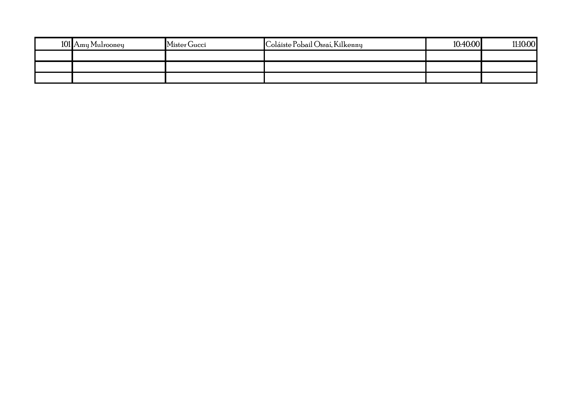| 101 Amy Mulrooney | Mister Gucci | Coláiste Pobail Osraí, Kilkenny | 10:40:00 | 11:10:00 |
|-------------------|--------------|---------------------------------|----------|----------|
|                   |              |                                 |          |          |
|                   |              |                                 |          |          |
|                   |              |                                 |          |          |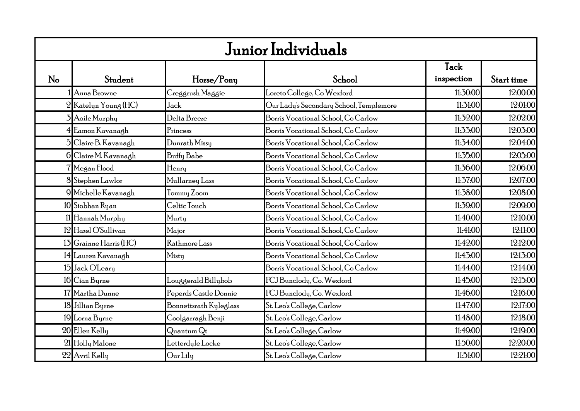|    | Junior Individuals     |                                 |                                         |                    |            |  |  |
|----|------------------------|---------------------------------|-----------------------------------------|--------------------|------------|--|--|
| No | Student                | Horse/Pony                      | School                                  | Tack<br>inspection | Start time |  |  |
|    | Anna Browne            | Creggrush Maggie                | Loreto College, Co Wexford              | 11:30:00           | 12:00:00   |  |  |
|    | 2 Katelyn Young (HC)   | Jack                            | Our Lady's Secondary School, Templemore | 11:31:00           | 12:01:00   |  |  |
|    | 3 Aoife Murphy         | Delta Breeze                    | Borris Vocational School, Co Carlow     | 11:32:00           | 12:02:00   |  |  |
|    | 4 Eamon Kavanagh       | Princess                        | Borris Vocational School, Co Carlow     | 11:33:00           | 12:03:00   |  |  |
|    | 5 Claire B. Kavanagh   | Dunrath Missy                   | Borris Vocational School, Co Carlow     | 11:34:00           | 12:04:00   |  |  |
|    | 6 Claire M. Kavanagh   | Buffy Babe                      | Borris Vocational School, Co Carlow     | 11:35:00           | 12:05:00   |  |  |
|    | 7 Megan Flood          | Henry                           | Borris Vocational School, Co Carlow     | 11:36:00           | 12:06:00   |  |  |
|    | 8 Stephen Lawlor       | Mullarney Lass                  | Borris Vocational School, Co Carlow     | 11:37:00           | 12:07:00   |  |  |
|    | 9 Michelle Kavanagh    | Tommy Zoom                      | Borris Vocational School, Co Carlow     | 11:38:00           | 12:08:00   |  |  |
|    | 10 Siobhan Ryan        | Celtic Touch                    | Borris Vocational School, Co Carlow     | 11:39:00           | 12:09:00   |  |  |
|    | 11 Hannah Murphy       | Murty                           | Borris Vocational School, Co Carlow     | 11:40:00           | 12:10:00   |  |  |
|    | 12 Hazel O'Sullivan    | Major                           | Borris Vocational School, Co Carlow     | 11:41:00           | 12:11:00   |  |  |
|    | 13 Grainne Harris (HC) | Rathmore Lass                   | Borris Vocational School, Co Carlow     | 11:42:00           | 12:12:00   |  |  |
|    | 14 Lauren Kavanagh     | Misty                           | Borris Vocational School, Co Carlow     | 11:43:00           | 12:13:00   |  |  |
|    | 15 Jack OLeary         |                                 | Borris Vocational School, Co Carlow     | 11:44:00           | 12:14:00   |  |  |
|    | 16 Cian Byrne          | Louggerald Billybob             | FCJ Bunclody, Co. Wexford               | 11:45:00           | 12:15:00   |  |  |
|    | 17 Martha Dunne        | Peperds Castle Donnie           | FCJ Bunclody, Co. Wexford               | 11:46:00           | 12:16:00   |  |  |
|    | 18 Jillian Byrne       | Bonnettsrath Kyleglass          | St. Leo's College, Carlow               | 11:47:00           | 12:17:00   |  |  |
|    | 19 Lorna Byrne         | Coolgarragh Benji               | St. Leo's College, Carlow               | 11:48:00           | 12:18:00   |  |  |
|    | 20 Ellen Kelly         | $\mathrm{Quantum}\,\mathrm{Qt}$ | St. Leo's College, Carlow               | 11:49:00           | 12:19:00   |  |  |
|    | 21 Holly Malone        | Letterdyfe Locke                | St. Leo's College, Carlow               | 11:50:00           | 12:20:00   |  |  |
|    | 22 Avril Kelly         | Our Lily                        | St. Leo's College, Carlow               | 11:51:00           | 12:21:00   |  |  |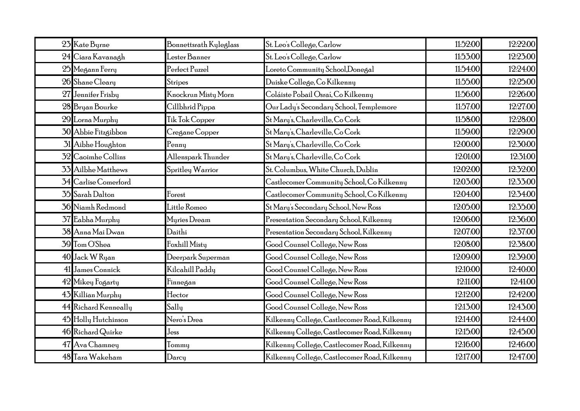| 23 Kate Byrne               | Bonnettsrath Kyleglass | St. Leo's College, Carlow                    | 11:52:00 | 12:22:00 |
|-----------------------------|------------------------|----------------------------------------------|----------|----------|
| 24 Ciara Kavanagh           | Lester Banner          | St. Leo's College, Carlow                    | 11:53:00 | 12:23:00 |
| 25 Megann Ferry             | Perfect Puzzel         | Loreto Community School,Donegal              | 11:54:00 | 12:24:00 |
| 26 Shane Cleary             | Stripes                | Duiske College, Co Kilkenny                  | 11:55:00 | 12:25:00 |
| 27 Jennifer Frisby          | Knockrun Misty Morn    | Coláiste Pobail Osraí, Co Kilkenny           | 11:56:00 | 12:26:00 |
| 28 Bryan Bourke             | Cillbhrid Pippa        | Our Lady's Secondary School, Templemore      | 11:57:00 | 12:27:00 |
| 29 Lorna Murphy             | Tik Tok Copper         | St Mary's, Charleville, Co Cork              | 11:58:00 | 12:28:00 |
| 30 Abbie Fitzgibbon         | Cregane Copper         | St Mary's, Charleville, Co Cork              | 11:59:00 | 12:29:00 |
| 31 Aibhe Houghton           | Penny                  | St Mary's, Charleville, Co Cork              | 12:00:00 | 12:30:00 |
| 32 Caoimhe Collins          | Allenspark Thunder     | St Mary's, Charleville, Co Cork              | 12:01:00 | 12:31:00 |
| 33 Ailbhe Matthews          | Spritley Warrior       | St. Columbus, White Church, Dublin           | 12:02:00 | 12:32:00 |
| <b>34</b> Carlise Comerford |                        | Castlecomer Community School, Co Kilkenny    | 12:03:00 | 12:33:00 |
| 35 Sarah Dalton             | Forest                 | Castlecomer Community School, Co Kilkenny    | 12:04:00 | 12:34:00 |
| 36 Niamh Redmond            | Little Romeo           | St Mary's Secondary School, New Ross         | 12:05:00 | 12:35:00 |
| 37 Eabha Murphy             | Myries Dream           | Presentation Secondary School, Kilkenny      | 12:06:00 | 12:36:00 |
| 38 Anna Mai Dwan            | Daithi                 | Presentation Secondary School, Kilkenny      | 12:07:00 | 12:37:00 |
| 39 Tom O'Shea               | Foxhill Misty          | Good Counsel College, New Ross               | 12:08:00 | 12:38:00 |
| 40 Jack W Ryan              | Deerpark Superman      | Good Counsel College, New Ross               | 12:09:00 | 12:39:00 |
| 41 James Connick            | Kilcahill Paddy        | Good Counsel College, New Ross               | 12:10:00 | 12:40:00 |
| 42 Mikey Fogarty            | Finnegan               | Good Counsel College, New Ross               | 12:11:00 | 12:41:00 |
| 43 Killian Murphy           | Hector                 | Good Counsel College, New Ross               | 12:12:00 | 12:42:00 |
| 44 Richard Kenneally        | Sally                  | Good Counsel College, New Ross               | 12:13:00 | 12:43:00 |
| 45 Holly Hutchinson         | Nero's Drea            | Kilkenny College, Castlecomer Road, Kilkenny | 12:14:00 | 12:44:00 |
| 46 Richard Quirke           | Jess                   | Kilkenny College, Castlecomer Road, Kilkenny | 12:15:00 | 12:45:00 |
| 47 Ava Chamney              | Tommy                  | Kilkenny College, Castlecomer Road, Kilkenny | 12:16:00 | 12:46:00 |
| 48 Tara Wakeham             | Darcy                  | Kilkenny College, Castlecomer Road, Kilkenny | 12:17:00 | 12:47:00 |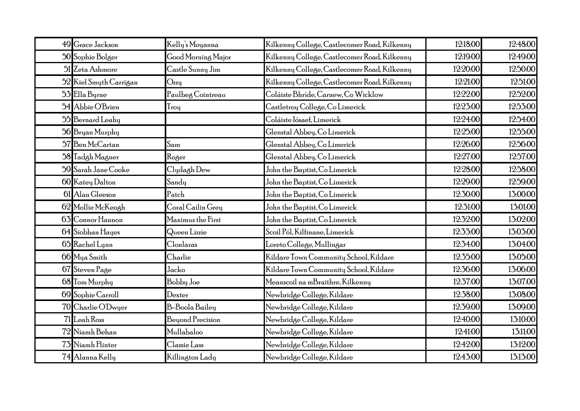| 49 Grace Jackson       | Kelly's Moyanna       | 12:18:00<br>Kilkenny College, Castlecomer Road, Kilkenny | 12:48:00 |
|------------------------|-----------------------|----------------------------------------------------------|----------|
| 50 Sophie Bolger       | Good Morning Major    | 12:19:00<br>Kilkenny College, Castlecomer Road, Kilkenny | 12:49:00 |
| 51 Zeta Ashmore        | Castle Sunny Jim      | 12:20:00<br>Kilkenny College, Castlecomer Road, Kilkenny | 12:50:00 |
| 52 Kiel Smyth Carrigan | Ozzu                  | 12:21:00<br>Kilkenny College, Castlecomer Road, Kilkenny | 12:51:00 |
| 53 Ella Byrne          | Paulbeg Cointreau     | 12:22:00<br>Coláiste Bhríde, Carnew, Co Wicklow          | 12:52:00 |
| 54 Abbie O'Brien       | Troy                  | 12:23:00<br>Castletroy College, Co Limerick              | 12:53:00 |
| 55 Bernard Leahy       |                       | 12:24:00<br>Coláiste Iósaef, Limerick                    | 12:54:00 |
| 56 Bryan Murphy        |                       | 12:25:00<br>Glenstal Abbey, Co Limerick                  | 12:55:00 |
| 57 Ben McCartan        | Sam                   | 12:26:00<br>Glenstal Abbey, Co Limerick                  | 12:56:00 |
| 58 Tadgh Magner        | Roger                 | 12:27:00<br>Glenstal Abbey, Co Limerick                  | 12:57:00 |
| 59 Sarah Jane Cooke    | Clydagh Dew           | 12:28:00<br>John the Baptist, Co Limerick                | 12:58:00 |
| 60 Katey Dalton        | Sandy                 | 12:29:00<br>John the Baptist, Co Limerick                | 12:59:00 |
| 61 Alan Gleeson        | Patch                 | 12:30:00<br>John the Baptist, Co Limerick                | 13:00:00 |
| 62 Mollie McKeogh      | Coral Cailin Grey     | 12:31:00<br>John the Baptist, Co Limerick                | 13:01:00 |
| 63 Connor Hannon       | Maximus the First     | 12:32:00<br>John the Baptist, Co Limerick                | 13:02:00 |
| 64 Siobhan Hayes       | Queen Lizzie          | 12:33:00<br>Scoil Pól, Kilfinane, Limerick               | 13:03:00 |
| 65 Rachel Lynn         | Clonlaras             | 12:34:00<br>Loreto College, Mullingar                    | 13:04:00 |
| 66 Mya Smith           | Charlie               | 12:35:00<br>Kildare Town Community School, Kildare       | 13:05:00 |
| 67 Steven Page         | Jacko                 | 12:36:00<br>Kildare Town Community School, Kildare       | 13:06:00 |
| 68 Tom Murphy          | Bobby Joe             | 12:37:00<br>Meanscoil na mBraithre, Kilkenny             | 13:07:00 |
| 69 Sophie Carroll      | Dexter                | 12:38:00<br>Newbridge College, Kildare                   | 13:08:00 |
| 70 Charlie O'Dwyer     | <b>B-Boola Bailey</b> | 12:39:00<br>Newbridge College, Kildare                   | 13:09:00 |
| 71 Leah Ross           | Beyond Precision      | 12:40:00<br>Newbridge College, Kildare                   | 13:10:00 |
| 72 Niamh Behan         | Mullabaloo            | 12:41:00<br>Newbridge College, Kildare                   | 13:11:00 |
| 73 Niamh Flinter       | Classie Lass          | 12:42:00<br>Newbridge College, Kildare                   | 13:12:00 |
| 74 Alanna Kelly        | Killington Lady       | 12:43:00<br>Newbridge College, Kildare                   | 13:13:00 |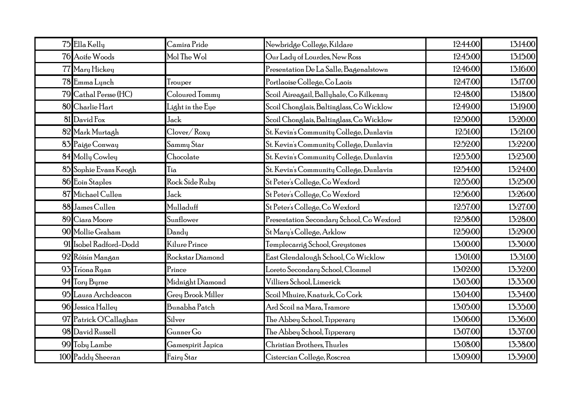| 75 Ella Kelly          | Camira Pride      | Newbridge College, Kildare                | 12:44:00 | 13:14:00 |
|------------------------|-------------------|-------------------------------------------|----------|----------|
| 76 Aoife Woods         | Mol The Wol       | Our Lady of Lourdes, New Ross             | 12:45:00 | 13:15:00 |
| 77 Mary Hickey         |                   | Presentation De La Salle, Bagenalstown    | 12:46:00 | 13:16:00 |
| 78 Emma Lynch          | Trouper           | Portlaoise College, Co Laois              | 12:47:00 | 13:17:00 |
| 79 Cathal Persse (HC)  | Coloured Tommy    | Scoil Aireagail, Ballyhale, Co Kilkenny   | 12:48:00 | 13:18:00 |
| 80 Charlie Hart        | Light in the Eye  | Scoil Chonglais, Baltinglass, Co Wicklow  | 12:49:00 | 13:19:00 |
| 81 David Fox           | Jack              | Scoil Chonglais, Baltinglass, Co Wicklow  | 12:50:00 | 13:20:00 |
| 82 Mark Murtagh        | Clover/Roxy       | St. Kevin's Community College, Dunlavin   | 12:51:00 | 13:21:00 |
| 83 Paige Conway        | Sammy Star        | St. Kevin's Community College, Dunlavin   | 12:52:00 | 13:22:00 |
| 84 Molly Cowley        | Chocolate         | St. Kevin's Community College, Dunlavin   | 12:53:00 | 13:23:00 |
| 85 Sophie Evans Keogh  | Tia               | St. Kevin's Community College, Dunlavin   | 12:54:00 | 13:24:00 |
| 86 Eoin Staples        | Rock Side Ruby    | St Peter's College, Co Wexford            | 12:55:00 | 13:25:00 |
| 87 Michael Cullen      | Jack              | St Peter's College, Co Wexford            | 12:56:00 | 13:26:00 |
| 88 James Cullen        | Mulladuff         | St Peter's College, Co Wexford            | 12:57:00 | 13:27:00 |
| 89 Ciara Moore         | Sunflower         | Presentation Secondary School, Co Wexford | 12:58:00 | 13:28:00 |
| 90 Mollie Graham       | Dandy             | St Mary's College, Arklow                 | 12:59:00 | 13:29:00 |
| 91 Isobel Radford-Dodd | Kilure Prince     | Templecarrig School, Greystones           | 13:00:00 | 13:30:00 |
| 92 Róisín Mangan       | Rockstar Diamond  | East Glendalough School, Co Wicklow       | 13:01:00 | 13:31:00 |
| 93 Tríona Ryan         | Prince            | Loreto Secondary School, Clonmel          | 13:02:00 | 13:32:00 |
| 94 Tory Byrne          | Midnight Diamond  | Villiers School, Limerick                 | 13:03:00 | 13:33:00 |
| 95 Laura Archdeacon    | Grey Brook Miller | Scoil Mhuire, Knaturk, Co Cork            | 13:04:00 | 13:34:00 |
| 96 Jessica Halley      | Bunabha Patch     | Ard Scoil na Mara, Tramore                | 13:05:00 | 13:35:00 |
| 97 Patrick O'Callaghan | Silver            | The Abbey School, Tipperary               | 13:06:00 | 13:36:00 |
| 98 David Russell       | Gunner Go         | The Abbey School, Tipperary               | 13:07:00 | 13:37:00 |
| 99 Toby Lambe          | Gamespirit Japica | Christian Brothers, Thurles               | 13:08:00 | 15:58:00 |
| 100 Paddy Sheeran      | Fairy Star        | Cistercian College, Roscrea               | 13:09:00 | 13:39:00 |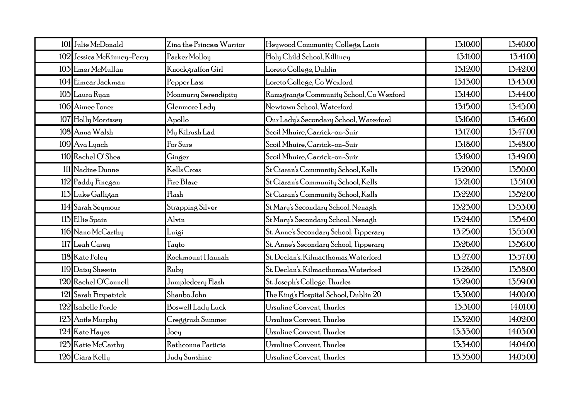| 101 Julie McDonald         | Zina the Princess Warrior | Heywood Community College, Laois        | 13:10:00 | 13:40:00 |
|----------------------------|---------------------------|-----------------------------------------|----------|----------|
| 102 Jessica McKinney-Perry | Parker Molloy             | Holy Child School, Killiney             | 13:11:00 | 13:41:00 |
| 103 Emer McMullan          | Knockgraffon Girl         | Loreto College, Dublin                  | 13:12:00 | 15:42:00 |
| 104 Eimear Jackman         | Pepper Lass               | Loreto College, Co Wexford              | 13:13:00 | 13:43:00 |
| 105 Laura Ryan             | Monmurry Serendipity      | Ramsgrange Community School, Co Wexford | 13:14:00 | 13:44:00 |
| 106 Aimee Toner            | Glenmore Lady             | Newtown School, Waterford               | 13:15:00 | 13:45:00 |
| 107 Holly Morrissey        | Apollo                    | Our Lady's Secondary School, Waterford  | 13:16:00 | 13:46:00 |
| 108 Anna Walsh             | My Kilrush Lad            | Scoil Mhuire, Carrick-on-Suir           | 13:17:00 | 13:47:00 |
| 109 Ava Lynch              | For Sure                  | Scoil Mhuire, Carrick-on-Suir           | 13:18:00 | 13:48:00 |
| 110 Rachel O'Shea          | Ginger                    | Scoil Mhuire, Carrick-on-Suir           | 13:19:00 | 15:49:00 |
| 111 Nadine Dunne           | Kells Cross               | St Ciaran's Community School, Kells     | 13:20:00 | 13:50:00 |
| 112 Paddy Finegan          | Fire Blaze                | St Ciaran's Community School, Kells     | 13:21:00 | 13:51:00 |
| 113 Luke Galligan          | Flash                     | St Ciaran's Community School, Kells     | 13:22:00 | 13:52:00 |
| 114 Sarah Seymour          | Strapping Silver          | St Mary's Secondary School, Nenagh      | 13:23:00 | 13:53:00 |
| 115 Ellie Spain            | Alvin                     | St Mary's Secondary School, Nenagh      | 13:24:00 | 13:54:00 |
| 116 Nano McCarthy          | Luigi                     | St. Anne's Secondary School, Tipperary  | 13:25:00 | 13:55:00 |
| 117 Leah Carey             | Tayto                     | St. Anne's Secondary School, Tipperary  | 13:26:00 | 13:56:00 |
| 118 Kate Foley             | Rockmount Hannah          | St. Declan's, Kilmacthomas, Waterford   | 13:27:00 | 13.57.00 |
| 119 Daisy Sheerin          | Ruby                      | St. Declan's, Kilmacthomas, Waterford   | 13:28:00 | 13:58:00 |
| 120 Rachel O'Connell       | Jumplederry Flash         | St. Joseph's College, Thurles           | 13:29:00 | 13.59.00 |
| 121 Sarah Fitzpatrick      | Shanbo John               | The King's Hospital School, Dublin 20   | 13:30:00 | 14:00:00 |
| 122 Isabelle Forde         | Boswell Lady Luck         | Ursuline Convent, Thurles               | 13:31:00 | 14:01:00 |
| 123 Aoife Murphy           | Creggrush Summer          | Ursuline Convent, Thurles               | 13:32:00 | 14:02:00 |
| 124 Kate Hayes             | Joey                      | Ursuline Convent, Thurles               | 13:33:00 | 14:03:00 |
| 125 Katie McCarthy         | Rathconna Particia        | Ursuline Convent, Thurles               | 13:34:00 | 14:04:00 |
| 126 Ciara Kelly            | Judy Sunshine             | Ursuline Convent, Thurles               | 13:35:00 | 14:05:00 |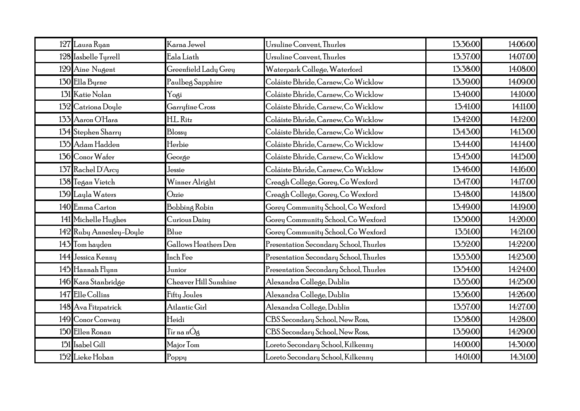| 127 Laura Ryan          | Karna Jewel           | Ursuline Convent, Thurles              | 13:36:00 | 14:06:00 |
|-------------------------|-----------------------|----------------------------------------|----------|----------|
| 128 Iasbelle Turrell    | Eala Liath            | Ursuline Convent, Thurles              | 13:37:00 | 14:07:00 |
| 129 Aine Nugent         | Greenfield Lady Grey  | Waterpark College, Waterford           | 13:38:00 | 14:08:00 |
| 130 Ella Byrne          | Paulbeg Sapphire      | Coláiste Bhríde, Carnew, Co Wicklow    | 13:39:00 | 14:09:00 |
| 131 Katie Nolan         | Yogi                  | Coláiste Bhríde, Carnew, Co Wicklow    | 13:40:00 | 14:10:00 |
| 132 Catriona Doyle      | Garryfine Cross       | Coláiste Bhríde, Carnew, Co Wicklow    | 13:41:00 | 14:11:00 |
| 133 Aaron O'Hara        | H.L. Ritz             | Coláiste Bhríde, Carnew, Co Wicklow    | 13:42:00 | 14:12:00 |
| 134 Stephen Sharry      | Blossy                | Coláiste Bhríde, Carnew, Co Wicklow    | 13:43:00 | 14:13:00 |
| 135 Adam Hadden         | Herbie                | Coláiste Bhríde, Carnew, Co Wicklow    | 13:44:00 | 14:14:00 |
| 136 Conor Wafer         | George                | Coláiste Bhríde, Carnew, Co Wicklow    | 13:45:00 | 14:15:00 |
| 137 Rachel D'Arcy       | Jessie                | Coláiste Bhríde, Carnew, Co Wicklow    | 13:46:00 | 14:16:00 |
| 138 Tegan Vietch        | Winner Alright        | Creagh College, Gorey, Co Wexford      | 13:47:00 | 14:17:00 |
| 139 Layla Waters        | Ozzie                 | Creagh College, Gorey, Co Wexford      | 15:48:00 | 14:18:00 |
| 140 Emma Carton         | Bobbing Robin         | Gorey Community School, Co Wexford     | 13:49:00 | 14:19:00 |
| 141 Michelle Hughes     | Curious Daisy         | Gorey Community School, Co Wexford     | 13.50.00 | 14:20:00 |
| 142 Ruby Annesley-Doyle | Blue                  | Gorey Community School, Co Wexford     | 13:51:00 | 14:21:00 |
| 143 Tom hayden          | Gallows Heathers Den  | Presentation Secondary School, Thurles | 13.52.00 | 14:22:00 |
| 144 Jessica Kenny       | Inch Fee              | Presentation Secondary School, Thurles | 13.53.00 | 14:23:00 |
| 145 Hannah Flynn        | Junior                | Presentation Secondary School, Thurles | 13:54:00 | 14:24:00 |
| 146 Kara Stanbridge     | Cheaver Hill Sunshine | Alexandra College, Dublin              | 13.55.00 | 14:25:00 |
| 147 Elle Collins        | Fifty Joules          | Alexandra College, Dublin              | 13.56.00 | 14:26:00 |
| 148 Ava Fitzpatrick     | Atlantic Girl         | Alexandra College, Dublin              | 13.57.00 | 14:27:00 |
| 149 Conor Conway        | Heidi                 | CBS Secondary School, New Ross,        | 13.58.00 | 14:28:00 |
| 150 Ellen Ronan         | Tír na nÓg            | CBS Secondary School, New Ross,        | 13:59:00 | 14:29:00 |
| 151 Isabel Gill         | Major Tom             | Loreto Secondary School, Kilkenny      | 14:00:00 | 14:30:00 |
| 152 Lieke Hoban         | Poppy                 | Loreto Secondary School, Kilkenny      | 14:01:00 | 14:31:00 |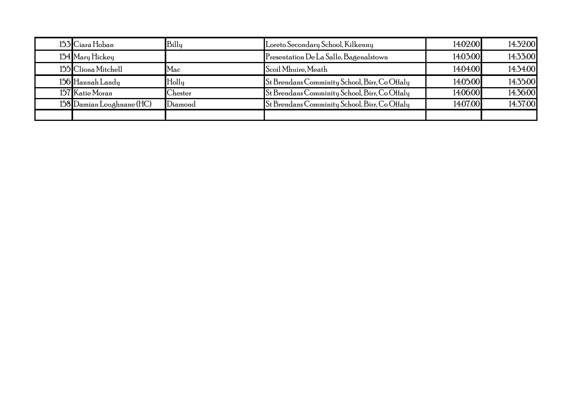| 153 Ciara Hoban           | Billy   | Loreto Secondary School, Kilkenny             | 14:02:00 | 14:32:00 |
|---------------------------|---------|-----------------------------------------------|----------|----------|
| 154 Mary Hickey           |         | Presentation De La Salle, Bagenalstown        | 14:03:00 | 14:33:00 |
| 155 Cliona Mitchell       | Mac     | Scoil Mhuire, Meath                           | 14:04:00 | 14:34:00 |
| 156 Hannah Landy          | Holly   | St Brendans Comminity School, Birr, Co Offaly | 14:05:00 | 14:35:00 |
| 157 Katie Moran           | Chester | St Brendans Comminity School, Birr, Co Offaly | 14:06:00 | 14:36:00 |
| 158 Damian Loughnane (HC) | Diamond | St Brendans Comminity School, Birr, Co Offaly | 14:07:00 | 14:37:00 |
|                           |         |                                               |          |          |